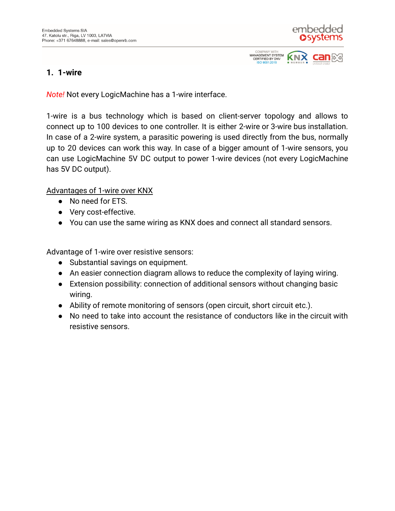

**KN<sub>2</sub>** 

**CERTIFIED BY DNV** ISO 9001:2015

## **1. 1-wire**

*Note!* Not every LogicMachine has a 1-wire interface.

1-wire is a bus technology which is based on client-server topology and allows to connect up to 100 devices to one controller. It is either 2-wire or 3-wire bus installation. In case of a 2-wire system, a parasitic powering is used directly from the bus, normally up to 20 devices can work this way. In case of a bigger amount of 1-wire sensors, you can use LogicMachine 5V DC output to power 1-wire devices (not every LogicMachine has 5V DC output).

Advantages of 1-wire over KNX

- No need for ETS.
- Very cost-effective.
- You can use the same wiring as KNX does and connect all standard sensors.

Advantage of 1-wire over resistive sensors:

- Substantial savings on equipment.
- An easier connection diagram allows to reduce the complexity of laying wiring.
- Extension possibility: connection of additional sensors without changing basic wiring.
- Ability of remote monitoring of sensors (open circuit, short circuit etc.).
- No need to take into account the resistance of conductors like in the circuit with resistive sensors.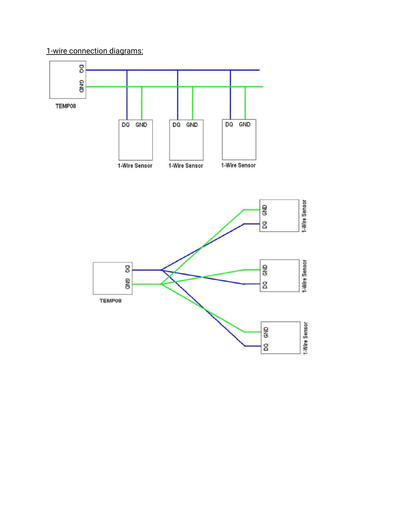1-wire connection diagrams:

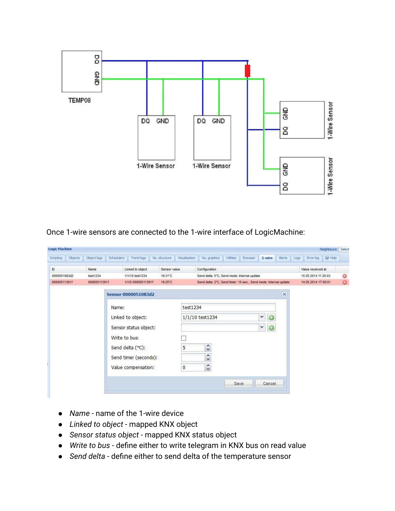

Once 1-wire sensors are connected to the 1-wire interface of LogicMachine:

| Scripting                    | Objects | Object logs      | Schedulers | Trend logs                    | Vis. structure. | Visualization | Vis. graphics                                                    | <b>Utilities</b> | Enocean | 1-wire  | Alerts | Logs                |                                          | Error log   @ Help |   |
|------------------------------|---------|------------------|------------|-------------------------------|-----------------|---------------|------------------------------------------------------------------|------------------|---------|---------|--------|---------------------|------------------------------------------|--------------------|---|
|                              |         |                  |            |                               |                 |               |                                                                  |                  |         |         |        |                     |                                          |                    |   |
| $\mathbb{D}$<br>0000051083d2 |         | Name<br>test1234 |            | Linked to object              | Sensor value    |               | Configuration<br>Send delta: 5°C; Send mode: Internal update     |                  |         |         |        |                     | Value received at<br>15.05.2014 11:20:03 |                    |   |
|                              |         |                  |            | 1/1/10 test1234               | 19.31°C         |               |                                                                  |                  |         |         |        |                     |                                          |                    | 0 |
| 00000511391f                 |         | 00000511391f     |            | 1/1/5 00000511391f<br>19.25°C |                 |               | Send delta: 2°C; Send timer: 10 sec.; Send mode: Internal update |                  |         |         |        | 14.05.2014 17:00:01 |                                          | $\odot$            |   |
|                              |         |                  |            | Sensor 0000051083d2           |                 |               |                                                                  |                  |         |         | ×      |                     |                                          |                    |   |
|                              |         |                  | Name:      |                               |                 |               | test1234                                                         |                  |         |         |        |                     |                                          |                    |   |
|                              |         |                  |            | Linked to object:             |                 |               | 1/1/10 test1234<br>$\mathbf{v}$                                  |                  |         | $\circ$ |        |                     |                                          |                    |   |
|                              |         |                  |            | Sensor status object:         |                 |               |                                                                  |                  |         | 0<br>Y  |        |                     |                                          |                    |   |
|                              |         |                  |            | Write to bus:                 |                 |               |                                                                  |                  |         |         |        |                     |                                          |                    |   |
|                              |         |                  |            | Send delta (°C):              |                 | 5             | $\hat{\cdot}$                                                    |                  |         |         |        |                     |                                          |                    |   |
|                              |         |                  |            | Send timer (seconds):         |                 |               | $\blacktriangle$<br>Ÿ                                            |                  |         |         |        |                     |                                          |                    |   |
|                              |         |                  |            | Value compensation:           |                 | 0             | $\blacktriangle$<br>$\checkmark$                                 |                  |         |         |        |                     |                                          |                    |   |
|                              |         |                  |            |                               |                 |               |                                                                  |                  |         |         |        |                     |                                          |                    |   |
|                              |         |                  |            |                               |                 |               |                                                                  | Save             |         | Cancel  |        |                     |                                          |                    |   |

- *Name* name of the 1-wire device
- *Linked to object* mapped KNX object
- *Sensor status object* mapped KNX status object
- *Write to bus* define either to write telegram in KNX bus on read value
- *Send delta* define either to send delta of the temperature sensor